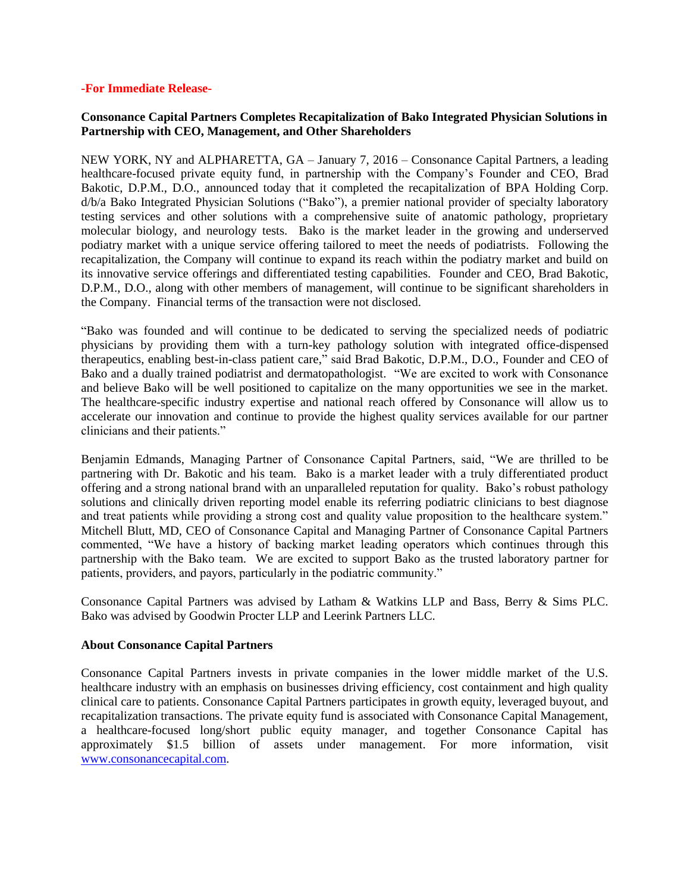#### **-For Immediate Release-**

# **Consonance Capital Partners Completes Recapitalization of Bako Integrated Physician Solutions in Partnership with CEO, Management, and Other Shareholders**

NEW YORK, NY and ALPHARETTA, GA – January 7, 2016 – Consonance Capital Partners, a leading healthcare-focused private equity fund, in partnership with the Company's Founder and CEO, Brad Bakotic, D.P.M., D.O., announced today that it completed the recapitalization of BPA Holding Corp. d/b/a Bako Integrated Physician Solutions ("Bako"), a premier national provider of specialty laboratory testing services and other solutions with a comprehensive suite of anatomic pathology, proprietary molecular biology, and neurology tests. Bako is the market leader in the growing and underserved podiatry market with a unique service offering tailored to meet the needs of podiatrists. Following the recapitalization, the Company will continue to expand its reach within the podiatry market and build on its innovative service offerings and differentiated testing capabilities. Founder and CEO, Brad Bakotic, D.P.M., D.O., along with other members of management, will continue to be significant shareholders in the Company. Financial terms of the transaction were not disclosed.

"Bako was founded and will continue to be dedicated to serving the specialized needs of podiatric physicians by providing them with a turn-key pathology solution with integrated office-dispensed therapeutics, enabling best-in-class patient care," said Brad Bakotic, D.P.M., D.O., Founder and CEO of Bako and a dually trained podiatrist and dermatopathologist. "We are excited to work with Consonance and believe Bako will be well positioned to capitalize on the many opportunities we see in the market. The healthcare-specific industry expertise and national reach offered by Consonance will allow us to accelerate our innovation and continue to provide the highest quality services available for our partner clinicians and their patients."

Benjamin Edmands, Managing Partner of Consonance Capital Partners, said, "We are thrilled to be partnering with Dr. Bakotic and his team. Bako is a market leader with a truly differentiated product offering and a strong national brand with an unparalleled reputation for quality. Bako's robust pathology solutions and clinically driven reporting model enable its referring podiatric clinicians to best diagnose and treat patients while providing a strong cost and quality value proposition to the healthcare system." Mitchell Blutt, MD, CEO of Consonance Capital and Managing Partner of Consonance Capital Partners commented, "We have a history of backing market leading operators which continues through this partnership with the Bako team. We are excited to support Bako as the trusted laboratory partner for patients, providers, and payors, particularly in the podiatric community."

Consonance Capital Partners was advised by Latham & Watkins LLP and Bass, Berry & Sims PLC. Bako was advised by Goodwin Procter LLP and Leerink Partners LLC.

## **About Consonance Capital Partners**

Consonance Capital Partners invests in private companies in the lower middle market of the U.S. healthcare industry with an emphasis on businesses driving efficiency, cost containment and high quality clinical care to patients. Consonance Capital Partners participates in growth equity, leveraged buyout, and recapitalization transactions. The private equity fund is associated with Consonance Capital Management, a healthcare-focused long/short public equity manager, and together Consonance Capital has approximately \$1.5 billion of assets under management. For more information, visit [www.consonancecapital.com.](http://www.consonancecapital.com/)